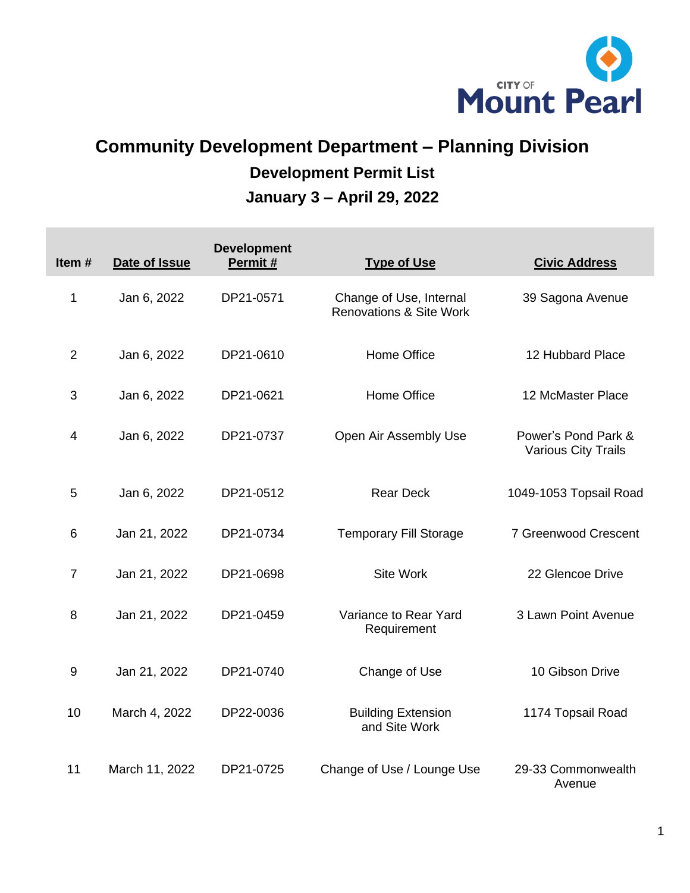

## **Community Development Department – Planning Division Development Permit List January 3 – April 29, 2022**

| Item#          | Date of Issue  | <b>Development</b><br>Permit# | <b>Type of Use</b>                                            | <b>Civic Address</b>                              |
|----------------|----------------|-------------------------------|---------------------------------------------------------------|---------------------------------------------------|
| 1              | Jan 6, 2022    | DP21-0571                     | Change of Use, Internal<br><b>Renovations &amp; Site Work</b> | 39 Sagona Avenue                                  |
| $\overline{2}$ | Jan 6, 2022    | DP21-0610                     | Home Office                                                   | 12 Hubbard Place                                  |
| 3              | Jan 6, 2022    | DP21-0621                     | Home Office                                                   | 12 McMaster Place                                 |
| 4              | Jan 6, 2022    | DP21-0737                     | Open Air Assembly Use                                         | Power's Pond Park &<br><b>Various City Trails</b> |
| 5              | Jan 6, 2022    | DP21-0512                     | <b>Rear Deck</b>                                              | 1049-1053 Topsail Road                            |
| 6              | Jan 21, 2022   | DP21-0734                     | <b>Temporary Fill Storage</b>                                 | 7 Greenwood Crescent                              |
| $\overline{7}$ | Jan 21, 2022   | DP21-0698                     | Site Work                                                     | 22 Glencoe Drive                                  |
| 8              | Jan 21, 2022   | DP21-0459                     | Variance to Rear Yard<br>Requirement                          | 3 Lawn Point Avenue                               |
| 9              | Jan 21, 2022   | DP21-0740                     | Change of Use                                                 | 10 Gibson Drive                                   |
| 10             | March 4, 2022  | DP22-0036                     | <b>Building Extension</b><br>and Site Work                    | 1174 Topsail Road                                 |
| 11             | March 11, 2022 | DP21-0725                     | Change of Use / Lounge Use                                    | 29-33 Commonwealth<br>Avenue                      |